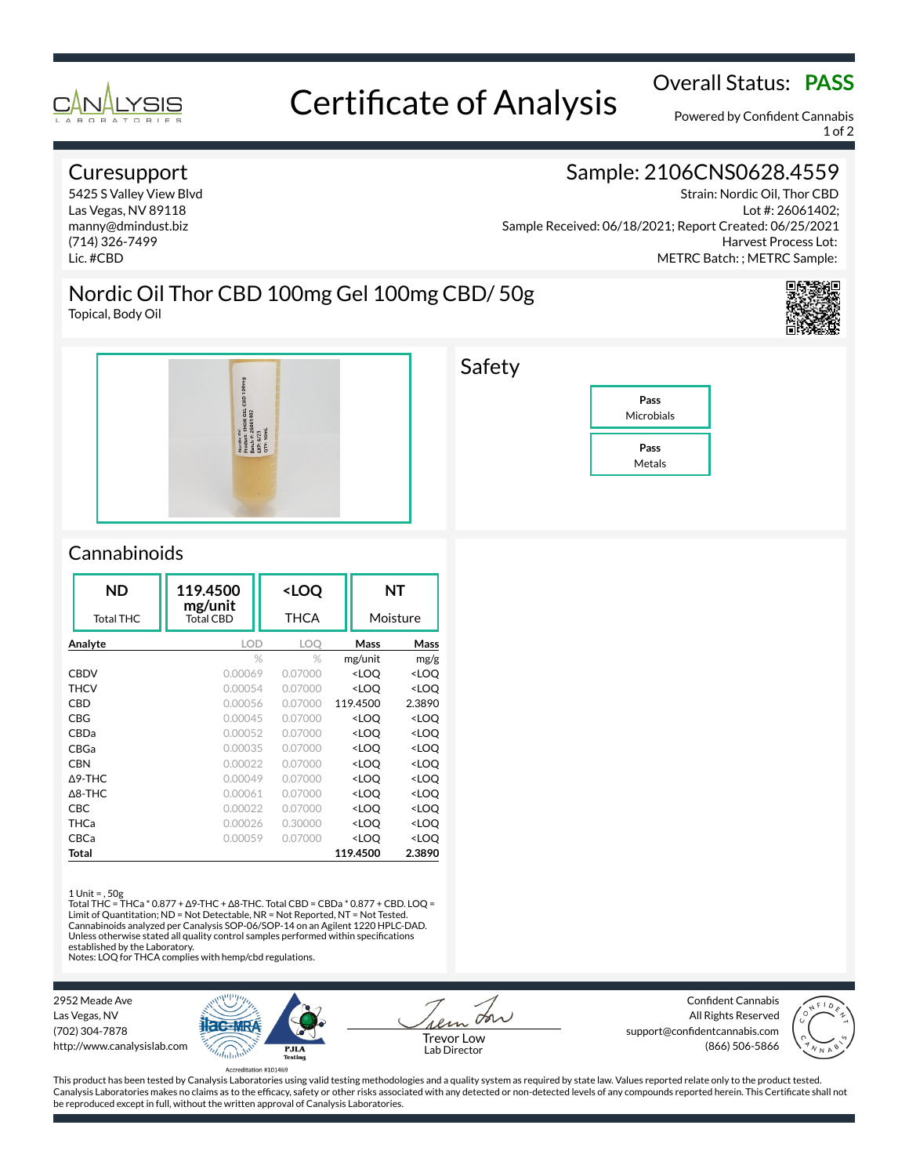

# Overall Status: **PASS**<br>Certificate of Analysis

Powered by Confident Cannabis 1 of 2

## **Curesupport**

5425 S Valley View Blvd Las Vegas, NV 89118 manny@dmindust.biz (714) 326-7499 Lic. #CBD

## Sample: 2106CNS0628.4559

Strain: Nordic Oil, Thor CBD Lot #: 26061402; Sample Received: 06/18/2021; Report Created: 06/25/2021 Harvest Process Lot: METRC Batch: ; METRC Sample:

Nordic Oil Thor CBD 100mg Gel 100mg CBD/ 50g Topical, Body Oil





## Safety



## **Cannabinoids**

|             | <b>ND</b>         | 119.4500             | <loq< th=""><th></th><th>NΤ</th></loq<> |                                                 | NΤ                  |
|-------------|-------------------|----------------------|-----------------------------------------|-------------------------------------------------|---------------------|
|             | <b>Total THC</b>  | mg/unit<br>Total CBD | THCA                                    | Moisture                                        |                     |
| Analyte     |                   | <b>LOD</b>           | LOO                                     | Mass                                            | Mass                |
|             |                   |                      | $\%$<br>$\%$                            | mg/unit                                         | mg/g                |
| <b>CBDV</b> |                   | 0.00069              | 0.07000                                 | <loq< td=""><td><loq< td=""></loq<></td></loq<> | <loq< td=""></loq<> |
| <b>THCV</b> |                   | 0.00054              | 0.07000                                 | <loq< td=""><td><loq< td=""></loq<></td></loq<> | <loq< td=""></loq<> |
| CBD         |                   | 0.00056              | 0.07000                                 | 119.4500                                        | 2.3890              |
|             | CBG               | 0.00045              | 0.07000                                 | <loo< td=""><td><loq< td=""></loq<></td></loo<> | <loq< td=""></loq<> |
|             | CBDa              | 0.00052              | 0.07000                                 | <loq< td=""><td><loq< td=""></loq<></td></loq<> | <loq< td=""></loq<> |
| CBGa        |                   | 0.00035              | 0.07000                                 | <loo< td=""><td><loq< td=""></loq<></td></loo<> | <loq< td=""></loq<> |
|             | <b>CBN</b>        | 0.00022              | 0.07000                                 | <loo< td=""><td><loq< td=""></loq<></td></loo<> | <loq< td=""></loq<> |
|             | $\triangle$ 9-THC | 0.00049              | 0.07000                                 | <loq< td=""><td><loq< td=""></loq<></td></loq<> | <loq< td=""></loq<> |
|             | $\triangle$ 8-THC | 0.00061              | 0.07000                                 | <loq< td=""><td><loq< td=""></loq<></td></loq<> | <loq< td=""></loq<> |
| CBC         |                   | 0.00022              | 0.07000                                 | <loq< td=""><td><loq< td=""></loq<></td></loq<> | <loq< td=""></loq<> |
| THCa        |                   | 0.00026              | 0.30000                                 | <loq< td=""><td><loq< td=""></loq<></td></loq<> | <loq< td=""></loq<> |
| CBCa        |                   | 0.00059              | 0.07000                                 | <loq< td=""><td><loq< td=""></loq<></td></loq<> | <loq< td=""></loq<> |
|             | Total             |                      |                                         | 119.4500                                        | 2.3890              |

### 1 Unit = , 50g

Total THC = THCa \* 0.877 + ∆9-THC + ∆8-THC. Total CBD = CBDa \* 0.877 + CBD. LOQ = Limit of Quantitation; ND = Not Detectable, NR = Not Reported, NT = Not Tested. Cannabinoids analyzed per Canalysis SOP-06/SOP-14 on an Agilent 1220 HPLC-DAD. Unless otherwise stated all quality control samples performed within specifications established by the Laboratory.

Notes: LOQ for THCA complies with hemp/cbd regulations.

2952 Meade Ave Las Vegas, NV (702) 304-7878 http://www.canalysislab.com



La Lab Director

Confident Cannabis All Rights Reserved support@confidentcannabis.com Support@commentealmabis.com<br>Lab Director (866) 506-5866



This product has been tested by Canalysis Laboratories using valid testing methodologies and a quality system as required by state law. Values reported relate only to the product tested. Canalysis Laboratories makes no claims as to the efficacy, safety or other risks associated with any detected or non-detected levels of any compounds reported herein. This Certificate shall not be reproduced except in full, without the written approval of Canalysis Laboratories.